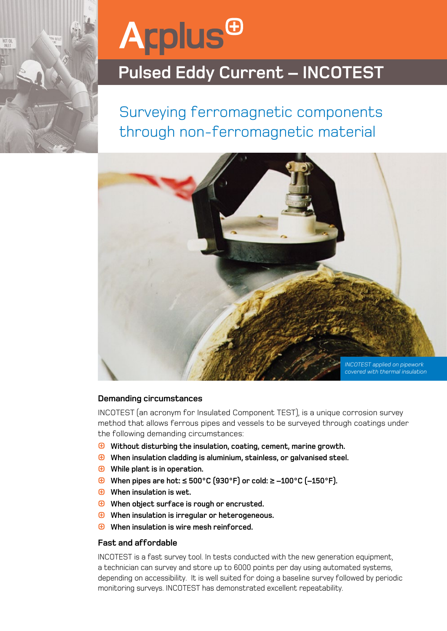

# **Agplus<sup>@</sup>**

### **Pulsed Eddy Current – INCOTEST**

Surveying ferromagnetic components through non-ferromagnetic material



#### **Demanding circumstances**

INCOTEST (an acronym for Insulated Component TEST), is a unique corrosion survey method that allows ferrous pipes and vessels to be surveyed through coatings under the following demanding circumstances:

- **Without disturbing the insulation, coating, cement, marine growth.**
- **When insulation cladding is aluminium, stainless, or galvanised steel.**
- **While plant is in operation.**
- **When pipes are hot: ≤ 500°C (930°F) or cold: ≥ –100°C (–150°F).**
- **When insulation is wet.**
- **When object surface is rough or encrusted.**
- **When insulation is irregular or heterogeneous.**
- **When insulation is wire mesh reinforced.**

#### **Fast and affordable**

INCOTEST is a fast survey tool. In tests conducted with the new generation equipment, a technician can survey and store up to 6000 points per day using automated systems, depending on accessibility. It is well suited for doing a baseline survey followed by periodic monitoring surveys. INCOTEST has demonstrated excellent repeatability.